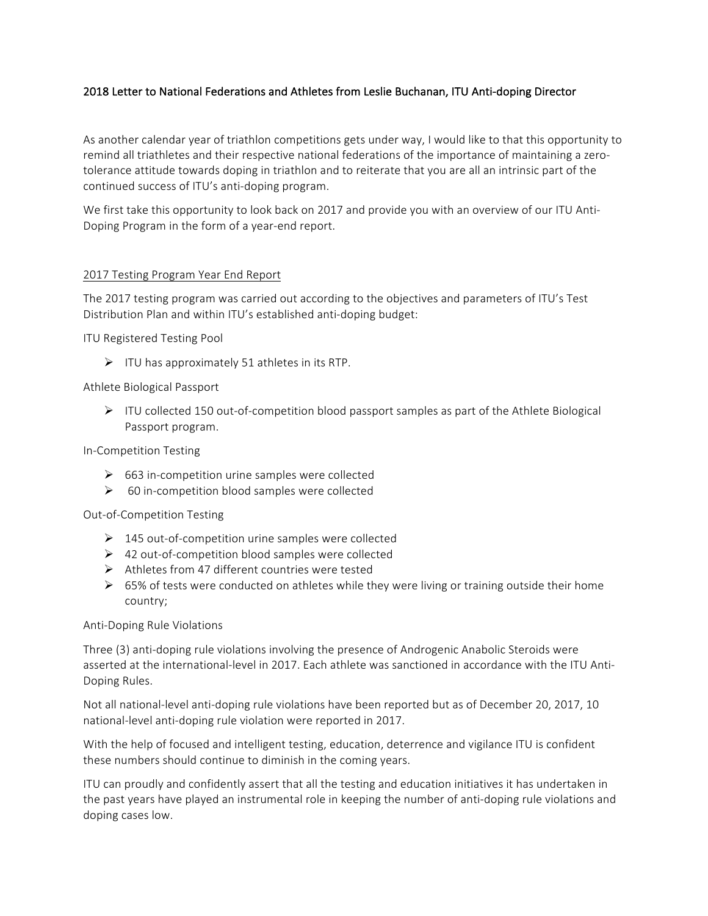## 2018 Letter to National Federations and Athletes from Leslie Buchanan, ITU Anti-doping Director

As another calendar year of triathlon competitions gets under way, I would like to that this opportunity to remind all triathletes and their respective national federations of the importance of maintaining a zerotolerance attitude towards doping in triathlon and to reiterate that you are all an intrinsic part of the continued success of ITU's anti-doping program.

We first take this opportunity to look back on 2017 and provide you with an overview of our ITU Anti-Doping Program in the form of a year-end report.

#### 2017 Testing Program Year End Report

The 2017 testing program was carried out according to the objectives and parameters of ITU's Test Distribution Plan and within ITU's established anti-doping budget:

**ITU Registered Testing Pool** 

 $\triangleright$  ITU has approximately 51 athletes in its RTP.

#### Athlete Biological Passport

▶ ITU collected 150 out-of-competition blood passport samples as part of the Athlete Biological Passport program.

In-Competition Testing 

- $\geq$  663 in-competition urine samples were collected
- $\triangleright$  60 in-competition blood samples were collected

Out-of-Competition Testing 

- $\triangleright$  145 out-of-competition urine samples were collected
- $\triangleright$  42 out-of-competition blood samples were collected
- $\triangleright$  Athletes from 47 different countries were tested
- $\triangleright$  65% of tests were conducted on athletes while they were living or training outside their home country;

Anti-Doping Rule Violations

Three (3) anti-doping rule violations involving the presence of Androgenic Anabolic Steroids were asserted at the international-level in 2017. Each athlete was sanctioned in accordance with the ITU Anti-Doping Rules.

Not all national-level anti-doping rule violations have been reported but as of December 20, 2017, 10 national-level anti-doping rule violation were reported in 2017.

With the help of focused and intelligent testing, education, deterrence and vigilance ITU is confident these numbers should continue to diminish in the coming years.

ITU can proudly and confidently assert that all the testing and education initiatives it has undertaken in the past years have played an instrumental role in keeping the number of anti-doping rule violations and doping cases low.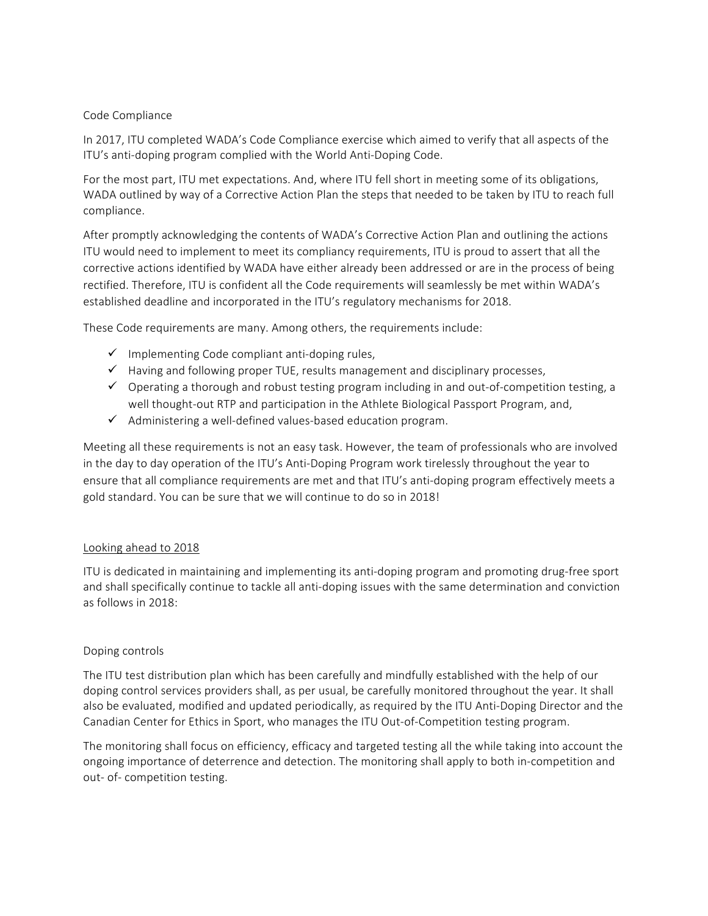#### Code Compliance

In 2017, ITU completed WADA's Code Compliance exercise which aimed to verify that all aspects of the ITU's anti-doping program complied with the World Anti-Doping Code.

For the most part, ITU met expectations. And, where ITU fell short in meeting some of its obligations, WADA outlined by way of a Corrective Action Plan the steps that needed to be taken by ITU to reach full compliance. 

After promptly acknowledging the contents of WADA's Corrective Action Plan and outlining the actions ITU would need to implement to meet its compliancy requirements, ITU is proud to assert that all the corrective actions identified by WADA have either already been addressed or are in the process of being rectified. Therefore, ITU is confident all the Code requirements will seamlessly be met within WADA's established deadline and incorporated in the ITU's regulatory mechanisms for 2018.

These Code requirements are many. Among others, the requirements include:

- $\checkmark$  Implementing Code compliant anti-doping rules,
- $\checkmark$  Having and following proper TUE, results management and disciplinary processes,
- $\checkmark$  Operating a thorough and robust testing program including in and out-of-competition testing, a well thought-out RTP and participation in the Athlete Biological Passport Program, and,
- $\checkmark$  Administering a well-defined values-based education program.

Meeting all these requirements is not an easy task. However, the team of professionals who are involved in the day to day operation of the ITU's Anti-Doping Program work tirelessly throughout the year to ensure that all compliance requirements are met and that ITU's anti-doping program effectively meets a gold standard. You can be sure that we will continue to do so in 2018!

### Looking ahead to 2018

ITU is dedicated in maintaining and implementing its anti-doping program and promoting drug-free sport and shall specifically continue to tackle all anti-doping issues with the same determination and conviction as follows in 2018:

### Doping controls

The ITU test distribution plan which has been carefully and mindfully established with the help of our doping control services providers shall, as per usual, be carefully monitored throughout the year. It shall also be evaluated, modified and updated periodically, as required by the ITU Anti-Doping Director and the Canadian Center for Ethics in Sport, who manages the ITU Out-of-Competition testing program.

The monitoring shall focus on efficiency, efficacy and targeted testing all the while taking into account the ongoing importance of deterrence and detection. The monitoring shall apply to both in-competition and out- of- competition testing.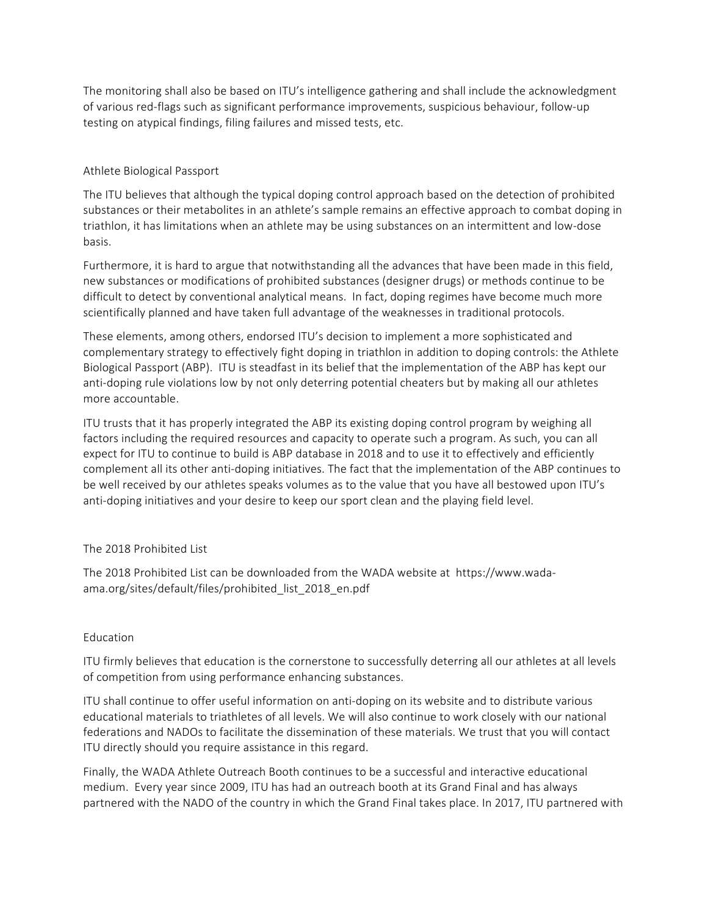The monitoring shall also be based on ITU's intelligence gathering and shall include the acknowledgment of various red-flags such as significant performance improvements, suspicious behaviour, follow-up testing on atypical findings, filing failures and missed tests, etc.

## Athlete Biological Passport

The ITU believes that although the typical doping control approach based on the detection of prohibited substances or their metabolites in an athlete's sample remains an effective approach to combat doping in triathlon, it has limitations when an athlete may be using substances on an intermittent and low-dose basis. 

Furthermore, it is hard to argue that notwithstanding all the advances that have been made in this field, new substances or modifications of prohibited substances (designer drugs) or methods continue to be difficult to detect by conventional analytical means. In fact, doping regimes have become much more scientifically planned and have taken full advantage of the weaknesses in traditional protocols.

These elements, among others, endorsed ITU's decision to implement a more sophisticated and complementary strategy to effectively fight doping in triathlon in addition to doping controls: the Athlete Biological Passport (ABP). ITU is steadfast in its belief that the implementation of the ABP has kept our anti-doping rule violations low by not only deterring potential cheaters but by making all our athletes more accountable.

ITU trusts that it has properly integrated the ABP its existing doping control program by weighing all factors including the required resources and capacity to operate such a program. As such, you can all expect for ITU to continue to build is ABP database in 2018 and to use it to effectively and efficiently complement all its other anti-doping initiatives. The fact that the implementation of the ABP continues to be well received by our athletes speaks volumes as to the value that you have all bestowed upon ITU's anti-doping initiatives and your desire to keep our sport clean and the playing field level.

### The 2018 Prohibited List

The 2018 Prohibited List can be downloaded from the WADA website at https://www.wadaama.org/sites/default/files/prohibited\_list\_2018\_en.pdf

### Education

ITU firmly believes that education is the cornerstone to successfully deterring all our athletes at all levels of competition from using performance enhancing substances.

ITU shall continue to offer useful information on anti-doping on its website and to distribute various educational materials to triathletes of all levels. We will also continue to work closely with our national federations and NADOs to facilitate the dissemination of these materials. We trust that you will contact ITU directly should you require assistance in this regard.

Finally, the WADA Athlete Outreach Booth continues to be a successful and interactive educational medium. Every year since 2009, ITU has had an outreach booth at its Grand Final and has always partnered with the NADO of the country in which the Grand Final takes place. In 2017, ITU partnered with